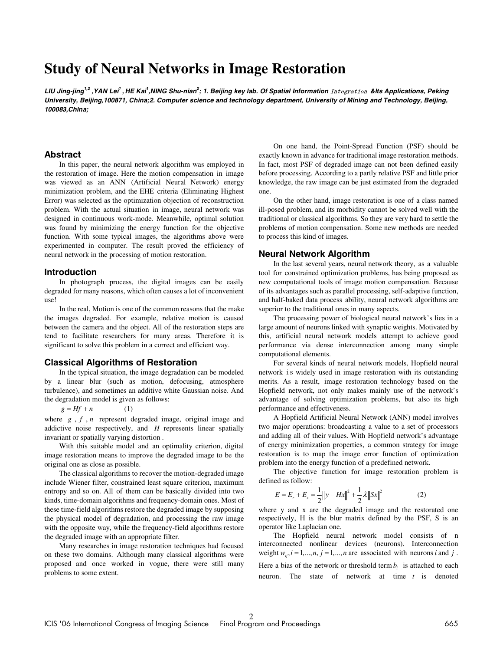# **Study of Neural Networks in Image Restoration**

LIU Jing-jing<sup>1,2</sup> ,YAN Lei<sup>1</sup> , HE Kai<sup>1</sup>,NING Shu-nian<sup>2</sup>; 1. Beijing key lab. Of Spatial Information Integration &Its Applications, Peking **University, Beijing,100871, China;2. Computer science and technology department, University of Mining and Technology, Beijing, 100083,China;** 

## **Abstract**

In this paper, the neural network algorithm was employed in the restoration of image. Here the motion compensation in image was viewed as an ANN (Artificial Neural Network) energy minimization problem, and the EHE criteria (Eliminating Highest Error) was selected as the optimization objection of reconstruction problem. With the actual situation in image, neural network was designed in continuous work-mode. Meanwhile, optimal solution was found by minimizing the energy function for the objective function. With some typical images, the algorithms above were experimented in computer. The result proved the efficiency of neural network in the processing of motion restoration.

#### **Introduction**

In photograph process, the digital images can be easily degraded for many reasons, which often causes a lot of inconvenient use!

In the real, Motion is one of the common reasons that the make the images degraded. For example, relative motion is caused between the camera and the object. All of the restoration steps are tend to facilitate researchers for many areas. Therefore it is significant to solve this problem in a correct and efficient way.

## **Classical Algorithms of Restoration**

In the typical situation, the image degradation can be modeled by a linear blur (such as motion, defocusing, atmosphere turbulence), and sometimes an additive white Gaussian noise. And the degradation model is given as follows:

 $g = Hf + n$  (1)

where *g*, *f*, *n* represent degraded image, original image and addictive noise respectively, and *H* represents linear spatially invariant or spatially varying distortion .

With this suitable model and an optimality criterion, digital image restoration means to improve the degraded image to be the original one as close as possible.

The classical algorithms to recover the motion-degraded image include Wiener filter, constrained least square criterion, maximum entropy and so on. All of them can be basically divided into two kinds, time-domain algorithms and frequency-domain ones. Most of these time-field algorithms restore the degraded image by supposing the physical model of degradation, and processing the raw image with the opposite way, while the frequency-field algorithms restore the degraded image with an appropriate filter.

Many researches in image restoration techniques had focused on these two domains. Although many classical algorithms were proposed and once worked in vogue, there were still many problems to some extent.

On one hand, the Point-Spread Function (PSF) should be exactly known in advance for traditional image restoration methods. In fact, most PSF of degraded image can not been defined easily before processing. According to a partly relative PSF and little prior knowledge, the raw image can be just estimated from the degraded one.

On the other hand, image restoration is one of a class named ill-posed problem, and its morbidity cannot be solved well with the traditional or classical algorithms. So they are very hard to settle the problems of motion compensation. Some new methods are needed to process this kind of images.

### **Neural Network Algorithm**

In the last several years, neural network theory, as a valuable tool for constrained optimization problems, has being proposed as new computational tools of image motion compensation. Because of its advantages such as parallel processing, self-adaptive function, and half-baked data process ability, neural network algorithms are superior to the traditional ones in many aspects.

The processing power of biological neural network's lies in a large amount of neurons linked with synaptic weights. Motivated by this, artificial neural network models attempt to achieve good performance via dense interconnection among many simple computational elements.

For several kinds of neural network models, Hopfield neural network is widely used in image restoration with its outstanding merits. As a result, image restoration technology based on the Hopfield network, not only makes mainly use of the network's advantage of solving optimization problems, but also its high performance and effectiveness.

A Hopfield Artificial Neural Network (ANN) model involves two major operations: broadcasting a value to a set of processors and adding all of their values. With Hopfield network's advantage of energy minimization properties, a common strategy for image restoration is to map the image error function of optimization problem into the energy function of a predefined network.

The objective function for image restoration problem is defined as follow:

$$
E = E_r + E_s = \frac{1}{2} \|y - Hx\|^2 + \frac{1}{2} \lambda \|Sx\|^2
$$
 (2)

where y and x are the degraded image and the restorated one respectively, H is the blur matrix defined by the PSF, S is an operator like Laplacian one.

The Hopfield neural network model consists of n interconnected nonlinear devices (neurons). Interconnection weight  $w_{ij}$ ,  $i = 1,..., n$ ,  $j = 1,..., n$  are associated with neurons *i* and *j*. Here a bias of the network or threshold term  $b_i$  is attached to each neuron. The state of network at time *t* is denoted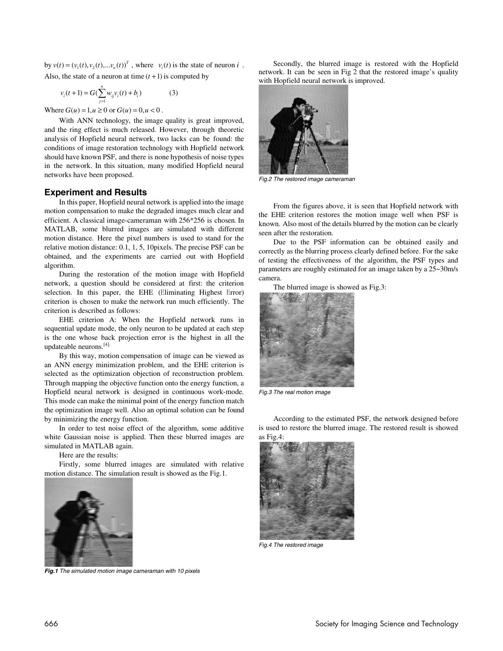by  $v(t) = (v_1(t), v_2(t), \dots v_n(t))^T$ , where  $v_i(t)$  is the state of neuron *i*. Also, the state of a neuron at time  $(t + 1)$  is computed by

$$
v_i(t+1) = G(\sum_{j=1}^n w_{ij} v_i(t) + b_i)
$$
 (3)

Where  $G(u) = 1, u \ge 0$  or  $G(u) = 0, u < 0$ .

With ANN technology, the image quality is great improved, and the ring effect is much released. However, through theoretic analysis of Hopfield neural network, two lacks can be found: the conditions of image restoration technology with Hopfield network should have known PSF, and there is none hypothesis of noise types in the network. In this situation, many modified Hopfield neural networks have been proposed.

## **Experiment and Results**

In this paper, Hopfield neural network is applied into the image motion compensation to make the degraded images much clear and efficient. A classical image-cameraman with 256\*256 is chosen. In MATLAB, some blurred images are simulated with different motion distance. Here the pixel numbers is used to stand for the relative motion distance: 0.1, 1, 5, 10pixels. The precise PSF can be obtained, and the experiments are carried out with Hopfield algorithm.

During the restoration of the motion image with Hopfield network, a question should be considered at first: the criterion selection. In this paper, the EHE (Eliminating Highest Error) criterion is chosen to make the network run much efficiently. The criterion is described as follows:

EHE criterion A: When the Hopfield network runs in sequential update mode, the only neuron to be updated at each step is the one whose back projection error is the highest in all the updateable neurons.[4].

By this way, motion compensation of image can be viewed as an ANN energy minimization problem, and the EHE criterion is selected as the optimization objection of reconstruction problem. Through mapping the objective function onto the energy function, a Hopfield neural network is designed in continuous work-mode. This mode can make the minimal point of the energy function match the optimization image well. Also an optimal solution can be found by minimizing the energy function.

In order to test noise effect of the algorithm, some additive white Gaussian noise is applied. Then these blurred images are simulated in MATLAB again.

Here are the results:

Firstly, some blurred images are simulated with relative motion distance. The simulation result is showed as the Fig.1.



**Fig.1** The simulated motion image cameraman with 10 pixels

Secondly, the blurred image is restored with the Hopfield network. It can be seen in Fig 2 that the restored image's quality with Hopfield neural network is improved.



Fig.2 The restored image cameraman

From the figures above, it is seen that Hopfield network with the EHE criterion restores the motion image well when PSF is known. Also most of the details blurred by the motion can be clearly seen after the restoration.

Due to the PSF information can be obtained easily and correctly as the blurring process clearly defined before. For the sake of testing the effectiveness of the algorithm, the PSF types and parameters are roughly estimated for an image taken by a 25~30m/s camera.





Fig.3 The real motion image

According to the estimated PSF, the network designed before is used to restore the blurred image. The restored result is showed as Fig.4:



Fig.4 The restored image